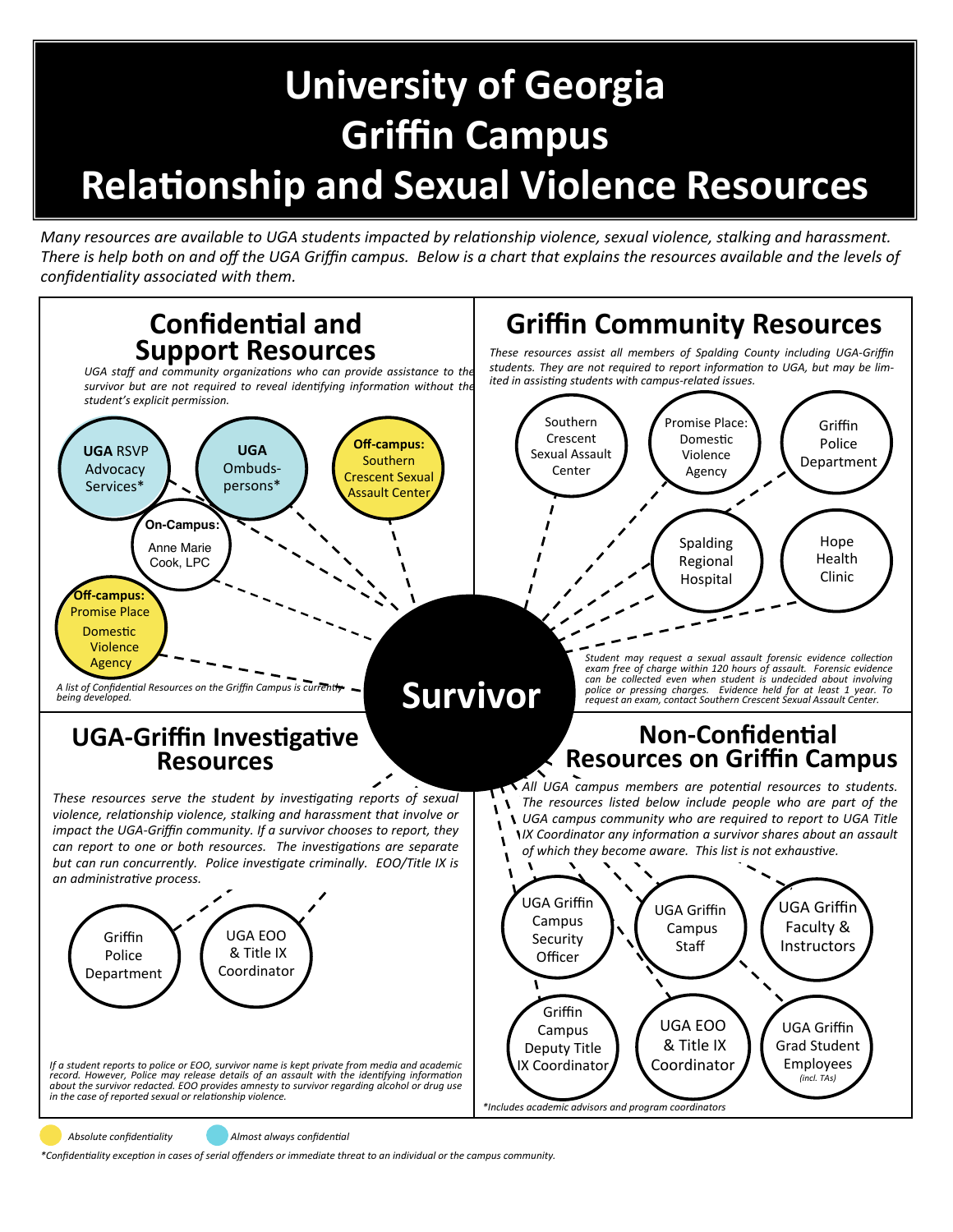## **University of Georgia Griffin Campus RelaƟonship and Sexual Violence Resources**

*Many resources are available to UGA students impacted by relationship violence, sexual violence, stalking and harassment. There is help both on and off the UGA Griffin campus. Below is a chart that explains the resources available and the levels of confidenƟality associated with them.* 



Absolute confidentiality **Almost always confidential** 

*\*ConfidenƟality excepƟon in cases of serial oīenders or immediate threat to an individual or the campus community.*